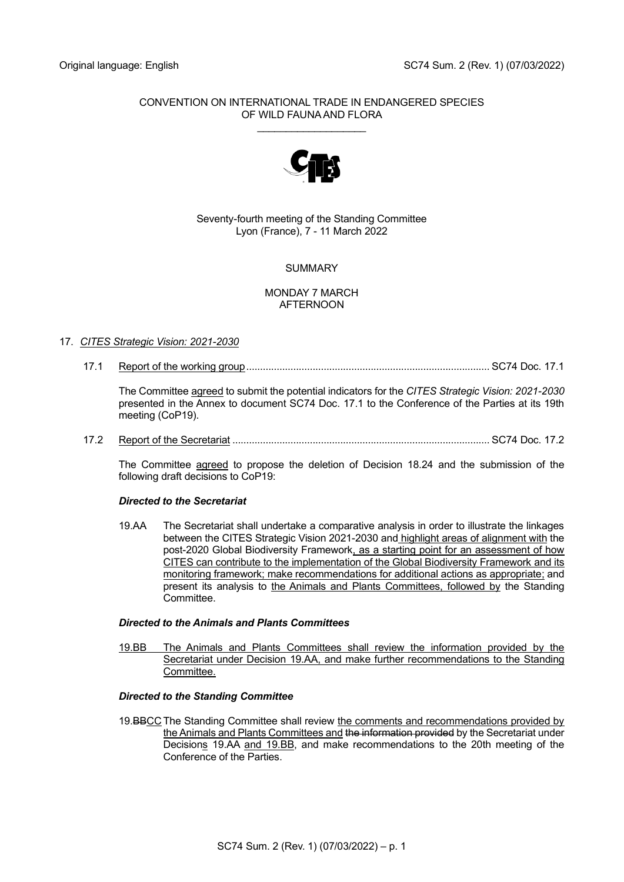## CONVENTION ON INTERNATIONAL TRADE IN ENDANGERED SPECIES OF WILD FAUNA AND FLORA

\_\_\_\_\_\_\_\_\_\_\_\_\_\_\_\_\_\_\_



# Seventy-fourth meeting of the Standing Committee Lyon (France), 7 - 11 March 2022

# SUMMARY

## MONDAY 7 MARCH AFTERNOON

# 17. *CITES Strategic Vision: 2021-2030*

17.1 Report of the working group........................................................................................ SC74 Doc. 17.1

The Committee agreed to submit the potential indicators for the *CITES Strategic Vision: 2021-2030* presented in the Annex to document SC74 Doc. 17.1 to the Conference of the Parties at its 19th meeting (CoP19).

17.2 Report of the Secretariat ............................................................................................. SC74 Doc. 17.2

The Committee agreed to propose the deletion of Decision 18.24 and the submission of the following draft decisions to CoP19:

# *Directed to the Secretariat*

19.AA The Secretariat shall undertake a comparative analysis in order to illustrate the linkages between the CITES Strategic Vision 2021-2030 and highlight areas of alignment with the post-2020 Global Biodiversity Framework, as a starting point for an assessment of how CITES can contribute to the implementation of the Global Biodiversity Framework and its monitoring framework; make recommendations for additional actions as appropriate; and present its analysis to the Animals and Plants Committees, followed by the Standing **Committee.** 

# *Directed to the Animals and Plants Committees*

19.BB The Animals and Plants Committees shall review the information provided by the Secretariat under Decision 19.AA, and make further recommendations to the Standing Committee.

## *Directed to the Standing Committee*

19.BBCC The Standing Committee shall review the comments and recommendations provided by the Animals and Plants Committees and the information provided by the Secretariat under Decisions 19.AA and 19.BB, and make recommendations to the 20th meeting of the Conference of the Parties.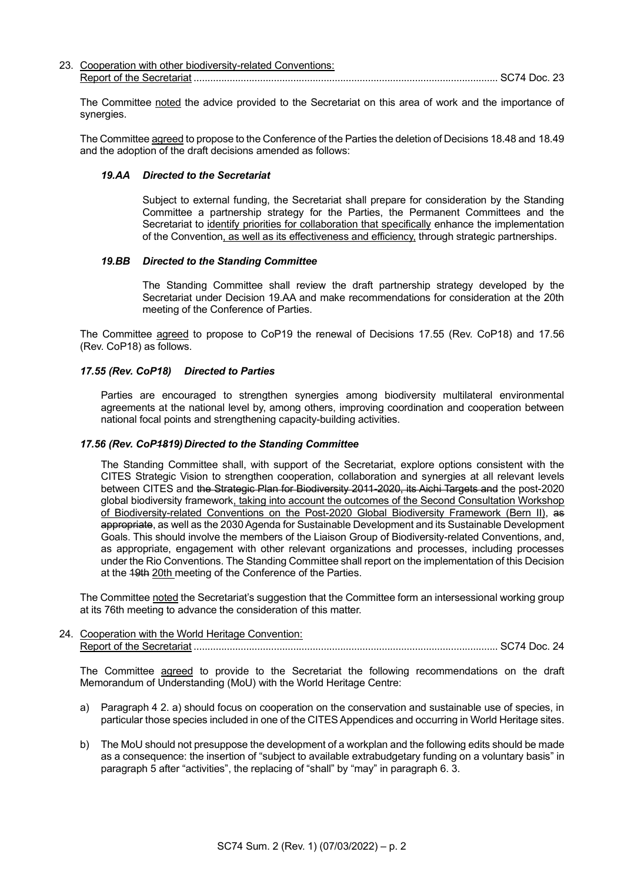| 23. Cooperation with other biodiversity-related Conventions: |         |
|--------------------------------------------------------------|---------|
| Report of the Secretariat                                    | :74 DOC |

The Committee noted the advice provided to the Secretariat on this area of work and the importance of synergies.

The Committee agreed to propose to the Conference of the Parties the deletion of Decisions 18.48 and 18.49 and the adoption of the draft decisions amended as follows:

#### *19.AA Directed to the Secretariat*

Subject to external funding, the Secretariat shall prepare for consideration by the Standing Committee a partnership strategy for the Parties, the Permanent Committees and the Secretariat to identify priorities for collaboration that specifically enhance the implementation of the Convention, as well as its effectiveness and efficiency, through strategic partnerships.

#### *19.BB Directed to the Standing Committee*

The Standing Committee shall review the draft partnership strategy developed by the Secretariat under Decision 19.AA and make recommendations for consideration at the 20th meeting of the Conference of Parties.

The Committee agreed to propose to CoP19 the renewal of Decisions 17.55 (Rev. CoP18) and 17.56 (Rev. CoP18) as follows.

#### *17.55 (Rev. CoP18) Directed to Parties*

Parties are encouraged to strengthen synergies among biodiversity multilateral environmental agreements at the national level by, among others, improving coordination and cooperation between national focal points and strengthening capacity-building activities.

#### 17.56 (Rev. CoP4819) Directed to the Standing Committee

The Standing Committee shall, with support of the Secretariat, explore options consistent with the CITES Strategic Vision to strengthen cooperation, collaboration and synergies at all relevant levels between CITES and the Strategic Plan for Biodiversity 2011-2020, its Aichi Targets and the post-2020 global biodiversity framework, taking into account the outcomes of the Second Consultation Workshop of Biodiversity-related Conventions on the Post-2020 Global Biodiversity Framework (Bern II), as appropriate, as well as the 2030 Agenda for Sustainable Development and its Sustainable Development Goals. This should involve the members of the Liaison Group of Biodiversity-related Conventions, and, as appropriate, engagement with other relevant organizations and processes, including processes under the Rio Conventions. The Standing Committee shall report on the implementation of this Decision at the 19th 20th meeting of the Conference of the Parties.

The Committee noted the Secretariat's suggestion that the Committee form an intersessional working group at its 76th meeting to advance the consideration of this matter.

24. Cooperation with the World Heritage Convention: Report of the Secretariat .............................................................................................................. SC74 Doc. 24

The Committee agreed to provide to the Secretariat the following recommendations on the draft Memorandum of Understanding (MoU) with the World Heritage Centre:

- a) Paragraph 4 2. a) should focus on cooperation on the conservation and sustainable use of species, in particular those species included in one of the CITES Appendices and occurring in World Heritage sites.
- b) The MoU should not presuppose the development of a workplan and the following edits should be made as a consequence: the insertion of "subject to available extrabudgetary funding on a voluntary basis" in paragraph 5 after "activities", the replacing of "shall" by "may" in paragraph 6. 3.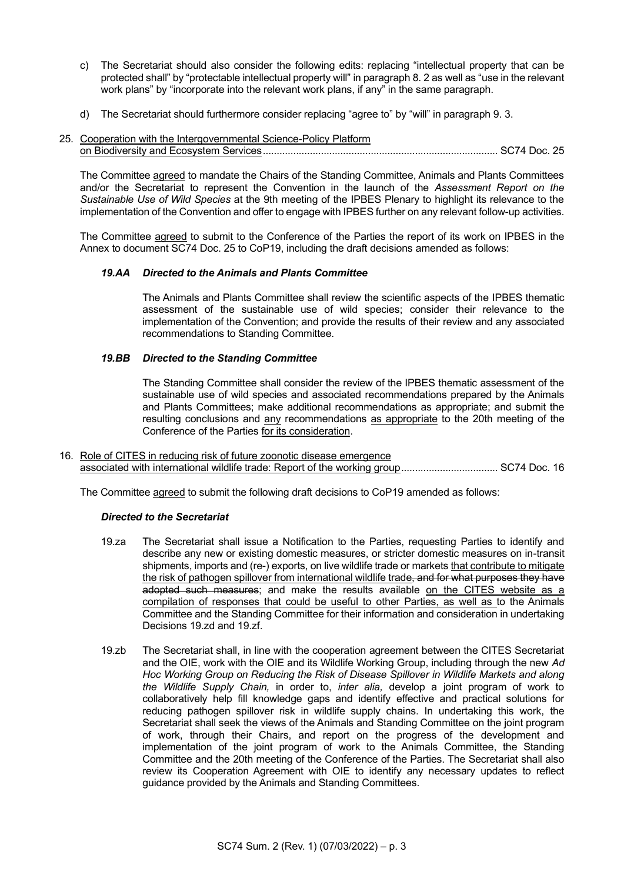- c) The Secretariat should also consider the following edits: replacing "intellectual property that can be protected shall" by "protectable intellectual property will" in paragraph 8. 2 as well as "use in the relevant work plans" by "incorporate into the relevant work plans, if any" in the same paragraph.
- d) The Secretariat should furthermore consider replacing "agree to" by "will" in paragraph 9. 3.
- 25. Cooperation with the Intergovernmental Science-Policy Platform on Biodiversity and Ecosystem Services..................................................................................... SC74 Doc. 25

The Committee agreed to mandate the Chairs of the Standing Committee, Animals and Plants Committees and/or the Secretariat to represent the Convention in the launch of the *Assessment Report on the Sustainable Use of Wild Species* at the 9th meeting of the IPBES Plenary to highlight its relevance to the implementation of the Convention and offer to engage with IPBES further on any relevant follow-up activities.

The Committee agreed to submit to the Conference of the Parties the report of its work on IPBES in the Annex to document SC74 Doc. 25 to CoP19, including the draft decisions amended as follows:

## *19.AA Directed to the Animals and Plants Committee*

The Animals and Plants Committee shall review the scientific aspects of the IPBES thematic assessment of the sustainable use of wild species; consider their relevance to the implementation of the Convention; and provide the results of their review and any associated recommendations to Standing Committee.

### *19.BB Directed to the Standing Committee*

The Standing Committee shall consider the review of the IPBES thematic assessment of the sustainable use of wild species and associated recommendations prepared by the Animals and Plants Committees; make additional recommendations as appropriate; and submit the resulting conclusions and any recommendations as appropriate to the 20th meeting of the Conference of the Parties for its consideration.

16. Role of CITES in reducing risk of future zoonotic disease emergence associated with international wildlife trade: Report of the working group................................... SC74 Doc. 16

The Committee agreed to submit the following draft decisions to CoP19 amended as follows:

### *Directed to the Secretariat*

- 19.za The Secretariat shall issue a Notification to the Parties, requesting Parties to identify and describe any new or existing domestic measures, or stricter domestic measures on in-transit shipments, imports and (re-) exports, on live wildlife trade or markets that contribute to mitigate the risk of pathogen spillover from international wildlife trade, and for what purposes they have adopted such measures; and make the results available on the CITES website as a compilation of responses that could be useful to other Parties, as well as to the Animals Committee and the Standing Committee for their information and consideration in undertaking Decisions 19.zd and 19.zf.
- 19.zb The Secretariat shall, in line with the cooperation agreement between the CITES Secretariat and the OIE, work with the OIE and its Wildlife Working Group, including through the new *Ad Hoc Working Group on Reducing the Risk of Disease Spillover in Wildlife Markets and along the Wildlife Supply Chain,* in order to, *inter alia,* develop a joint program of work to collaboratively help fill knowledge gaps and identify effective and practical solutions for reducing pathogen spillover risk in wildlife supply chains. In undertaking this work, the Secretariat shall seek the views of the Animals and Standing Committee on the joint program of work, through their Chairs, and report on the progress of the development and implementation of the joint program of work to the Animals Committee, the Standing Committee and the 20th meeting of the Conference of the Parties. The Secretariat shall also review its Cooperation Agreement with OIE to identify any necessary updates to reflect guidance provided by the Animals and Standing Committees.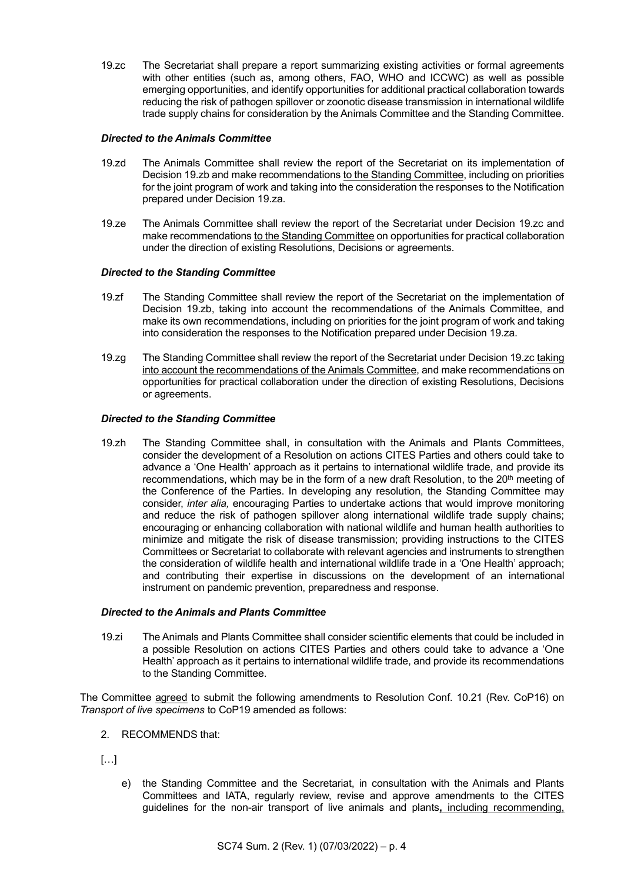19.zc The Secretariat shall prepare a report summarizing existing activities or formal agreements with other entities (such as, among others, FAO, WHO and ICCWC) as well as possible emerging opportunities, and identify opportunities for additional practical collaboration towards reducing the risk of pathogen spillover or zoonotic disease transmission in international wildlife trade supply chains for consideration by the Animals Committee and the Standing Committee.

## *Directed to the Animals Committee*

- 19.zd The Animals Committee shall review the report of the Secretariat on its implementation of Decision 19.zb and make recommendations to the Standing Committee, including on priorities for the joint program of work and taking into the consideration the responses to the Notification prepared under Decision 19.za.
- 19.ze The Animals Committee shall review the report of the Secretariat under Decision 19.zc and make recommendations to the Standing Committee on opportunities for practical collaboration under the direction of existing Resolutions, Decisions or agreements.

## *Directed to the Standing Committee*

- 19.zf The Standing Committee shall review the report of the Secretariat on the implementation of Decision 19.zb, taking into account the recommendations of the Animals Committee, and make its own recommendations, including on priorities for the joint program of work and taking into consideration the responses to the Notification prepared under Decision 19.za.
- 19.zg The Standing Committee shall review the report of the Secretariat under Decision 19.zc taking into account the recommendations of the Animals Committee, and make recommendations on opportunities for practical collaboration under the direction of existing Resolutions, Decisions or agreements.

## *Directed to the Standing Committee*

19.zh The Standing Committee shall, in consultation with the Animals and Plants Committees, consider the development of a Resolution on actions CITES Parties and others could take to advance a 'One Health' approach as it pertains to international wildlife trade, and provide its recommendations, which may be in the form of a new draft Resolution, to the  $20<sup>th</sup>$  meeting of the Conference of the Parties. In developing any resolution, the Standing Committee may consider, *inter alia,* encouraging Parties to undertake actions that would improve monitoring and reduce the risk of pathogen spillover along international wildlife trade supply chains; encouraging or enhancing collaboration with national wildlife and human health authorities to minimize and mitigate the risk of disease transmission; providing instructions to the CITES Committees or Secretariat to collaborate with relevant agencies and instruments to strengthen the consideration of wildlife health and international wildlife trade in a 'One Health' approach; and contributing their expertise in discussions on the development of an international instrument on pandemic prevention, preparedness and response.

## *Directed to the Animals and Plants Committee*

19.zi The Animals and Plants Committee shall consider scientific elements that could be included in a possible Resolution on actions CITES Parties and others could take to advance a 'One Health' approach as it pertains to international wildlife trade, and provide its recommendations to the Standing Committee.

The Committee agreed to submit the following amendments to Resolution Conf. 10.21 (Rev. CoP16) on *Transport of live specimens* to CoP19 amended as follows:

- 2. RECOMMENDS that:
- $[\ldots]$ 
	- e) the Standing Committee and the Secretariat, in consultation with the Animals and Plants Committees and IATA, regularly review, revise and approve amendments to the CITES guidelines for the non-air transport of live animals and plants**,** including recommending,